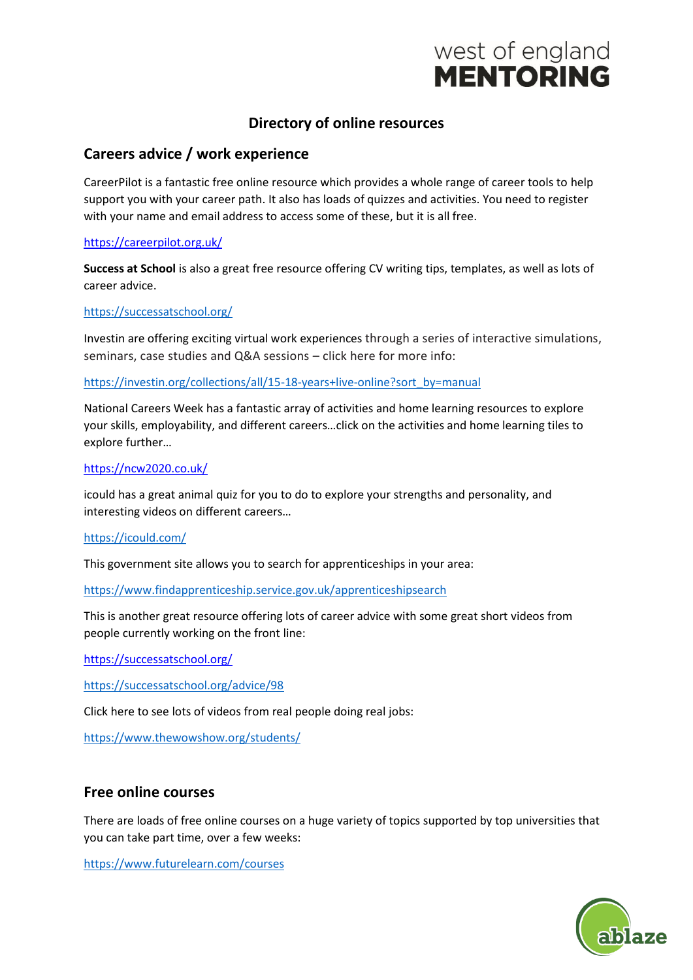# west of england **MENTORING**

## **Directory of online resources**

## **Careers advice / work experience**

CareerPilot is a fantastic free online resource which provides a whole range of career tools to help support you with your career path. It also has loads of quizzes and activities. You need to register with your name and email address to access some of these, but it is all free.

#### <https://careerpilot.org.uk/>

**Success at School** is also a great free resource offering CV writing tips, templates, as well as lots of career advice.

#### <https://successatschool.org/>

Investin are offering exciting virtual work experiences through a series of interactive simulations, seminars, case studies and Q&A sessions – click here for more info:

[https://investin.org/collections/all/15-18-years+live-online?sort\\_by=manual](https://investin.org/collections/all/15-18-years+live-online?sort_by=manual)

National Careers Week has a fantastic array of activities and home learning resources to explore your skills, employability, and different careers…click on the activities and home learning tiles to explore further…

#### <https://ncw2020.co.uk/>

icould has a great animal quiz for you to do to explore your strengths and personality, and interesting videos on different careers…

#### <https://icould.com/>

This government site allows you to search for apprenticeships in your area:

<https://www.findapprenticeship.service.gov.uk/apprenticeshipsearch>

This is another great resource offering lots of career advice with some great short videos from people currently working on the front line:

<https://successatschool.org/>

<https://successatschool.org/advice/98>

Click here to see lots of videos from real people doing real jobs:

<https://www.thewowshow.org/students/>

## **Free online courses**

There are loads of free online courses on a huge variety of topics supported by top universities that you can take part time, over a few weeks:

<https://www.futurelearn.com/courses>